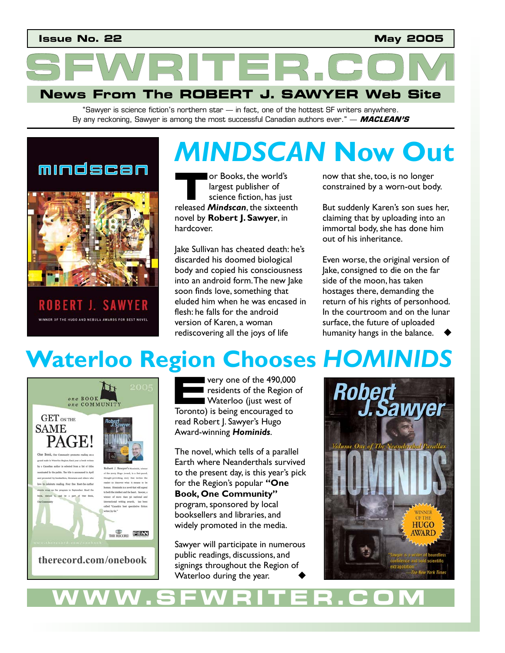### **Issue No. 22 May 2005**

ITER.C **News From The ROBERT J. SAWYER Web Site** 

> "Sawyer is science fiction's northern star — in fact, one of the hottest SF writers anywhere. By any reckoning, Sawyer is among the most successful Canadian authors ever." — **MACLEAN'S**

### mindscan



ROBERT J. **SAWYER** WINNER OF THE HUGO AND NEBULA AWARDS FOR BEST NOVEL

### **MINDSCAN Now O** or Books, the world's largest publisher of science fiction, has just **released Mindscan**, the world's<br> **The Science fiction, has just**<br> **The released Mindscan**, the sixteenth novel by **Robert J. Sawyer**, in hardcover.

Jake Sullivan has cheated death: he's discarded his doomed biological body and copied his consciousness into an android form. The new Jake soon finds love, something that eluded him when he was encased in flesh: he falls for the android version of Karen, a woman rediscovering all the joys of life

now that she, too, is no longer constrained by a worn-out body.

*MINDSCAN* **Now Out** 

But suddenly Karen's son sues her, claiming that by uploading into an immortal body, she has done him out of his inheritance.

Even worse, the original version of Jake, consigned to die on the far side of the moon, has taken hostages there, demanding the return of his rights of personhood. In the courtroom and on the lunar surface, the future of uploaded humanity hangs in the balance.

# **Waterloo Region Chooses** *HOMINIDS*



very one of the 490,000 residents of the Region of Waterloo (just west of **Example 19 very one of the 490,000**<br> **EXAMPLE 19 residents of the Region**<br> **EXAMPLE 19 WATER VALUE 19 YONG TO TOYOT 19 SUBSEMBLE 19 YONG TO TOYOT 19 YONG TO TOWARD THE 19 YONG TO THE 19 YO TO THE 19 YONG THE 19 YO TO THE** read Robert J. Sawyer's Hugo Award-winning *Hominids*.

The novel, which tells of a parallel Earth where Neanderthals survived to the present day, is this year's pick for the Region's popular **"One Book, One Community"** program, sponsored by local booksellers and libraries, and widely promoted in the media.

Sawyer will participate in numerous public readings, discussions, and signings throughout the Region of Waterloo during the year.



**WWW.SFWRITER.COM**